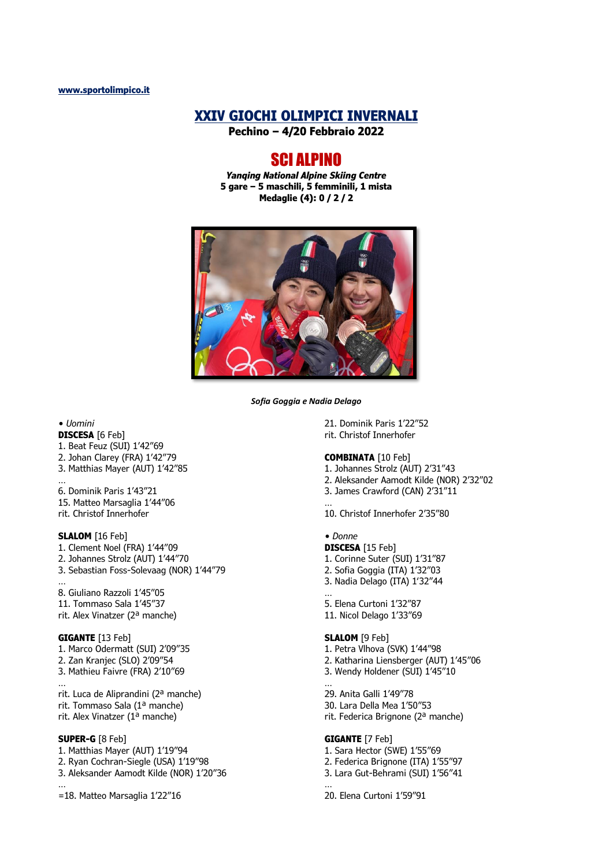# **XXIV GIOCHI OLIMPICI INVERNALI**

**Pechino – 4/20 Febbraio 2022**

# SCI ALPINO

*Yanqing National Alpine Skiing Centre* **5 gare – 5 maschili, 5 femminili, 1 mista Medaglie (4): 0 / 2 / 2**



*Sofia Goggia e Nadia Delago*

*• Uomini*

- **DISCESA** [6 Feb] 1. Beat Feuz (SUI) 1'42"69
- 2. Johan Clarey (FRA) 1'42"79 3. Matthias Mayer (AUT) 1'42"85
- …
- 6. Dominik Paris 1'43"21 15. Matteo Marsaglia 1'44"06 rit. Christof Innerhofer

## **SLALOM** [16 Feb]

- 1. Clement Noel (FRA) 1'44"09
- 2. Johannes Strolz (AUT) 1'44"70
- 3. Sebastian Foss-Solevaag (NOR) 1'44"79
- … 8. Giuliano Razzoli 1'45"05 11. Tommaso Sala 1'45"37
- rit. Alex Vinatzer (2ª manche)

## **GIGANTE** [13 Feb]

…

- 1. Marco Odermatt (SUI) 2'09"35 2. Zan Kranjec (SLO) 2'09"54
- 3. Mathieu Faivre (FRA) 2'10"69

rit. Luca de Aliprandini (2ª manche) rit. Tommaso Sala (1ª manche) rit. Alex Vinatzer (1ª manche)

#### **SUPER-G** [8 Feb]

- 1. Matthias Mayer (AUT) 1'19"94 2. Ryan Cochran-Siegle (USA) 1'19"98 3. Aleksander Aamodt Kilde (NOR) 1'20"36 …
- =18. Matteo Marsaglia 1'22"16

21. Dominik Paris 1'22"52 rit. Christof Innerhofer

## **COMBINATA** [10 Feb]

- 1. Johannes Strolz (AUT) 2'31"43
- 2. Aleksander Aamodt Kilde (NOR) 2'32"02
- 3. James Crawford (CAN) 2'31"11 …

10. Christof Innerhofer 2'35"80

#### *• Donne*

…

- **DISCESA** [15 Feb] 1. Corinne Suter (SUI) 1'31"87
- 2. Sofia Goggia (ITA) 1'32"03
- 3. Nadia Delago (ITA) 1'32"44

5. Elena Curtoni 1'32"87 11. Nicol Delago 1'33"69

#### **SLALOM** [9 Feb]

- 1. Petra Vlhova (SVK) 1'44"98
- 2. Katharina Liensberger (AUT) 1'45"06 3. Wendy Holdener (SUI) 1'45"10

… 29. Anita Galli 1'49"78 30. Lara Della Mea 1'50"53

rit. Federica Brignone (2ª manche)

## **GIGANTE** [7 Feb]

1. Sara Hector (SWE) 1'55"69 2. Federica Brignone (ITA) 1'55"97 3. Lara Gut-Behrami (SUI) 1'56"41 …

20. Elena Curtoni 1'59"91